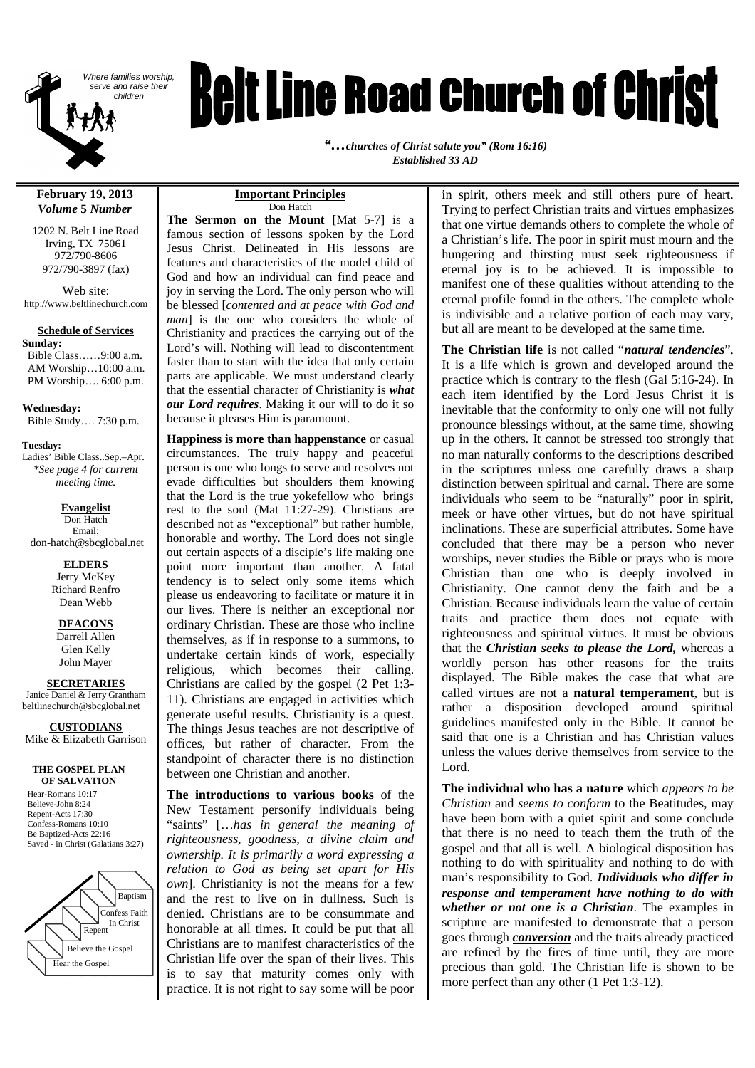

# **Reit Line Road Church of Christ**

*"…churches of Christ salute you" (Rom 16:16) Established 33 AD*

#### **February 19, 2013** *Volume* **5** *Number*

1202 N. Belt Line Road Irving, TX 75061 972/790-8606 972/790-3897 (fax)

Web site: http://www.beltlinechurch.com

#### **Schedule of Services**

**Sunday:** Bible Class……9:00 a.m. AM Worship…10:00 a.m. PM Worship…. 6:00 p.m.

**Wednesday:** Bible Study…. 7:30 p.m.

**Tuesday:** Ladies' Bible Class..Sep.–Apr. *\*See page 4 for current meeting time.*

**Evangelist** Don Hatch Email: don-hatch@sbcglobal.net

**ELDERS**

Jerry McKey Richard Renfro Dean Webb

**DEACONS** Darrell Allen Glen Kelly John Mayer

**SECRETARIES**

Janice Daniel & Jerry Grantham beltlinechurch@sbcglobal.net

**CUSTODIANS**

Mike & Elizabeth Garrison

**THE GOSPEL PLAN OF SALVATION**

Hear-Romans 10:17 Believe-John 8:24 Repent-Acts 17:30 Confess-Romans 10:10 Be Baptized-Acts 22:16 Saved - in Christ (Galatians 3:27)



#### **Important Principles** Don Hatch

**The Sermon on the Mount** [Mat 5-7] is a famous section of lessons spoken by the Lord Jesus Christ. Delineated in His lessons are features and characteristics of the model child of God and how an individual can find peace and joy in serving the Lord. The only person who will be blessed [*contented and at peace with God and man*] is the one who considers the whole of Christianity and practices the carrying out of the Lord's will. Nothing will lead to discontentment faster than to start with the idea that only certain parts are applicable. We must understand clearly that the essential character of Christianity is *what our Lord requires*. Making it our will to do it so because it pleases Him is paramount.

**Happiness is more than happenstance** or casual circumstances. The truly happy and peaceful person is one who longs to serve and resolves not evade difficulties but shoulders them knowing that the Lord is the true yokefellow who brings rest to the soul (Mat 11:27-29). Christians are described not as "exceptional" but rather humble, honorable and worthy. The Lord does not single out certain aspects of a disciple's life making one point more important than another. A fatal tendency is to select only some items which please us endeavoring to facilitate or mature it in our lives. There is neither an exceptional nor ordinary Christian. These are those who incline themselves, as if in response to a summons, to undertake certain kinds of work, especially religious, which becomes their calling. Christians are called by the gospel (2 Pet 1:3- 11). Christians are engaged in activities which generate useful results. Christianity is a quest. The things Jesus teaches are not descriptive of offices, but rather of character. From the standpoint of character there is no distinction between one Christian and another.

**The introductions to various books** of the New Testament personify individuals being "saints" […*has in general the meaning of righteousness, goodness, a divine claim and ownership. It is primarily a word expressing a relation to God as being set apart for His own*]. Christianity is not the means for a few and the rest to live on in dullness. Such is denied. Christians are to be consummate and honorable at all times. It could be put that all Christians are to manifest characteristics of the Christian life over the span of their lives. This is to say that maturity comes only with practice. It is not right to say some will be poor

in spirit, others meek and still others pure of heart. Trying to perfect Christian traits and virtues emphasizes that one virtue demands others to complete the whole of a Christian's life. The poor in spirit must mourn and the hungering and thirsting must seek righteousness if eternal joy is to be achieved. It is impossible to manifest one of these qualities without attending to the eternal profile found in the others. The complete whole is indivisible and a relative portion of each may vary, but all are meant to be developed at the same time.

**The Christian life** is not called "*natural tendencies*". It is a life which is grown and developed around the practice which is contrary to the flesh (Gal 5:16-24). In each item identified by the Lord Jesus Christ it is inevitable that the conformity to only one will not fully pronounce blessings without, at the same time, showing up in the others. It cannot be stressed too strongly that no man naturally conforms to the descriptions described in the scriptures unless one carefully draws a sharp distinction between spiritual and carnal. There are some individuals who seem to be "naturally" poor in spirit, meek or have other virtues, but do not have spiritual inclinations. These are superficial attributes. Some have concluded that there may be a person who never worships, never studies the Bible or prays who is more Christian than one who is deeply involved in Christianity. One cannot deny the faith and be a Christian. Because individuals learn the value of certain traits and practice them does not equate with righteousness and spiritual virtues. It must be obvious that the *Christian seeks to please the Lord,* whereas a worldly person has other reasons for the traits displayed. The Bible makes the case that what are called virtues are not a **natural temperament**, but is rather a disposition developed around spiritual guidelines manifested only in the Bible. It cannot be said that one is a Christian and has Christian values unless the values derive themselves from service to the Lord.

**The individual who has a nature** which *appears to be Christian* and *seems to conform* to the Beatitudes, may have been born with a quiet spirit and some conclude that there is no need to teach them the truth of the gospel and that all is well. A biological disposition has nothing to do with spirituality and nothing to do with man's responsibility to God. *Individuals who differ in response and temperament have nothing to do with whether or not one is a Christian*. The examples in scripture are manifested to demonstrate that a person goes through *conversion* and the traits already practiced are refined by the fires of time until, they are more precious than gold. The Christian life is shown to be more perfect than any other  $(1$  Pet 1:3-12).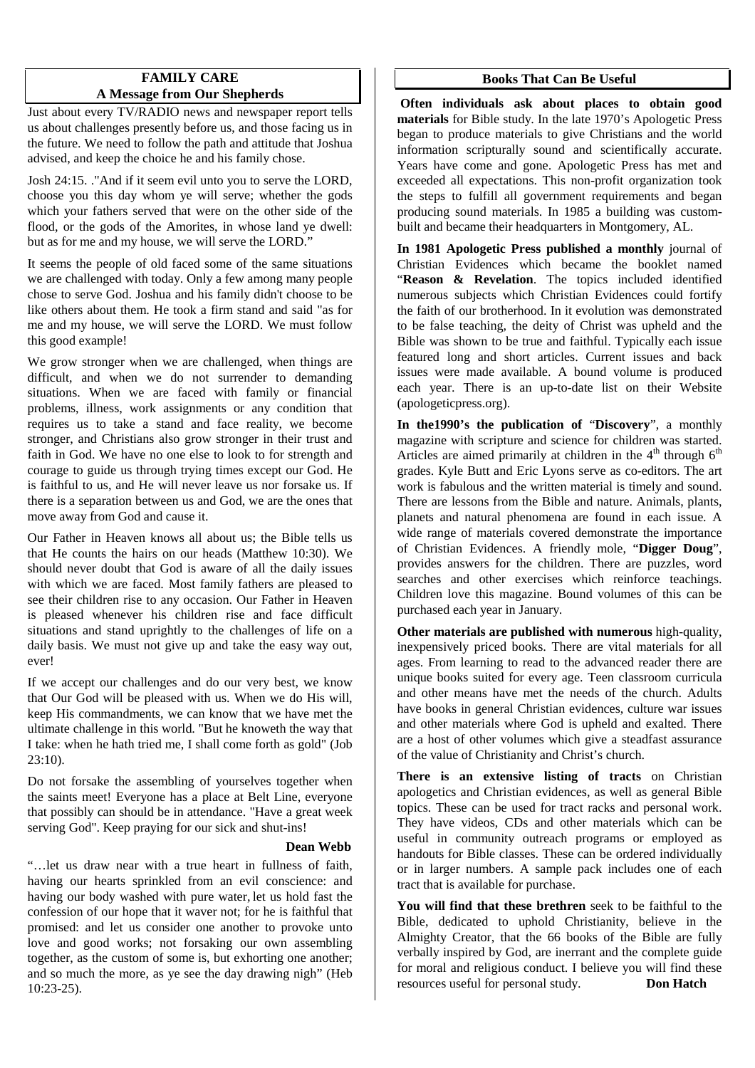#### **FAMILY CARE A Message from Our Shepherds**

Just about every TV/RADIO news and newspaper report tells us about challenges presently before us, and those facing us in the future. We need to follow the path and attitude that Joshua advised, and keep the choice he and his family chose.

Josh 24:15. ."And if it seem evil unto you to serve the LORD, choose you this day whom ye will serve; whether the gods which your fathers served that were on the other side of the flood, or the gods of the Amorites, in whose land ye dwell: but as for me and my house, we will serve the LORD."

It seems the people of old faced some of the same situations we are challenged with today. Only a few among many people chose to serve God. Joshua and his family didn't choose to be like others about them. He took a firm stand and said "as for me and my house, we will serve the LORD. We must follow this good example!

We grow stronger when we are challenged, when things are difficult, and when we do not surrender to demanding situations. When we are faced with family or financial problems, illness, work assignments or any condition that requires us to take a stand and face reality, we become stronger, and Christians also grow stronger in their trust and faith in God. We have no one else to look to for strength and courage to guide us through trying times except our God. He is faithful to us, and He will never leave us nor forsake us. If there is a separation between us and God, we are the ones that move away from God and cause it.

Our Father in Heaven knows all about us; the Bible tells us that He counts the hairs on our heads (Matthew 10:30). We should never doubt that God is aware of all the daily issues with which we are faced. Most family fathers are pleased to see their children rise to any occasion. Our Father in Heaven is pleased whenever his children rise and face difficult situations and stand uprightly to the challenges of life on a daily basis. We must not give up and take the easy way out, ever!

If we accept our challenges and do our very best, we know that Our God will be pleased with us. When we do His will, keep His commandments, we can know that we have met the ultimate challenge in this world. "But he knoweth the way that I take: when he hath tried me, I shall come forth as gold" (Job 23:10).

Do not forsake the assembling of yourselves together when the saints meet! Everyone has a place at Belt Line, everyone that possibly can should be in attendance. "Have a great week serving God". Keep praying for our sick and shut-ins!

#### **Dean Webb**

"…let us draw near with a true heart in fullness of faith, having our hearts sprinkled from an evil conscience: and having our body washed with pure water, let us hold fast the confession of our hope that it waver not; for he is faithful that promised: and let us consider one another to provoke unto love and good works; not forsaking our own assembling together, as the custom of some is, but exhorting one another; and so much the more, as ye see the day drawing nigh" (Heb 10:23-25).

#### **Books That Can Be Useful**

**Often individuals ask about places to obtain good materials** for Bible study. In the late 1970's Apologetic Press began to produce materials to give Christians and the world information scripturally sound and scientifically accurate. Years have come and gone. Apologetic Press has met and exceeded all expectations. This non-profit organization took the steps to fulfill all government requirements and began producing sound materials. In 1985 a building was custombuilt and became their headquarters in Montgomery, AL.

**In 1981 Apologetic Press published a monthly** journal of Christian Evidences which became the booklet named "**Reason & Revelation**. The topics included identified numerous subjects which Christian Evidences could fortify the faith of our brotherhood. In it evolution was demonstrated to be false teaching, the deity of Christ was upheld and the Bible was shown to be true and faithful. Typically each issue featured long and short articles. Current issues and back issues were made available. A bound volume is produced each year. There is an up-to-date list on their Website (apologeticpress.org).

**In the1990's the publication of** "**Discovery**", a monthly magazine with scripture and science for children was started. Articles are aimed primarily at children in the  $4<sup>th</sup>$  through  $6<sup>th</sup>$ grades. Kyle Butt and Eric Lyons serve as co-editors. The art work is fabulous and the written material is timely and sound. There are lessons from the Bible and nature. Animals, plants, planets and natural phenomena are found in each issue. A wide range of materials covered demonstrate the importance of Christian Evidences. A friendly mole, "**Digger Doug**", provides answers for the children. There are puzzles, word searches and other exercises which reinforce teachings. Children love this magazine. Bound volumes of this can be purchased each year in January.

**Other materials are published with numerous** high-quality, inexpensively priced books. There are vital materials for all ages. From learning to read to the advanced reader there are unique books suited for every age. Teen classroom curricula and other means have met the needs of the church. Adults have books in general Christian evidences, culture war issues and other materials where God is upheld and exalted. There are a host of other volumes which give a steadfast assurance of the value of Christianity and Christ's church.

**There is an extensive listing of tracts** on Christian apologetics and Christian evidences, as well as general Bible topics. These can be used for tract racks and personal work. They have videos, CDs and other materials which can be useful in community outreach programs or employed as handouts for Bible classes. These can be ordered individually or in larger numbers. A sample pack includes one of each tract that is available for purchase.

**You will find that these brethren** seek to be faithful to the Bible, dedicated to uphold Christianity, believe in the Almighty Creator, that the 66 books of the Bible are fully verbally inspired by God, are inerrant and the complete guide for moral and religious conduct. I believe you will find these resources useful for personal study. **Don Hatch**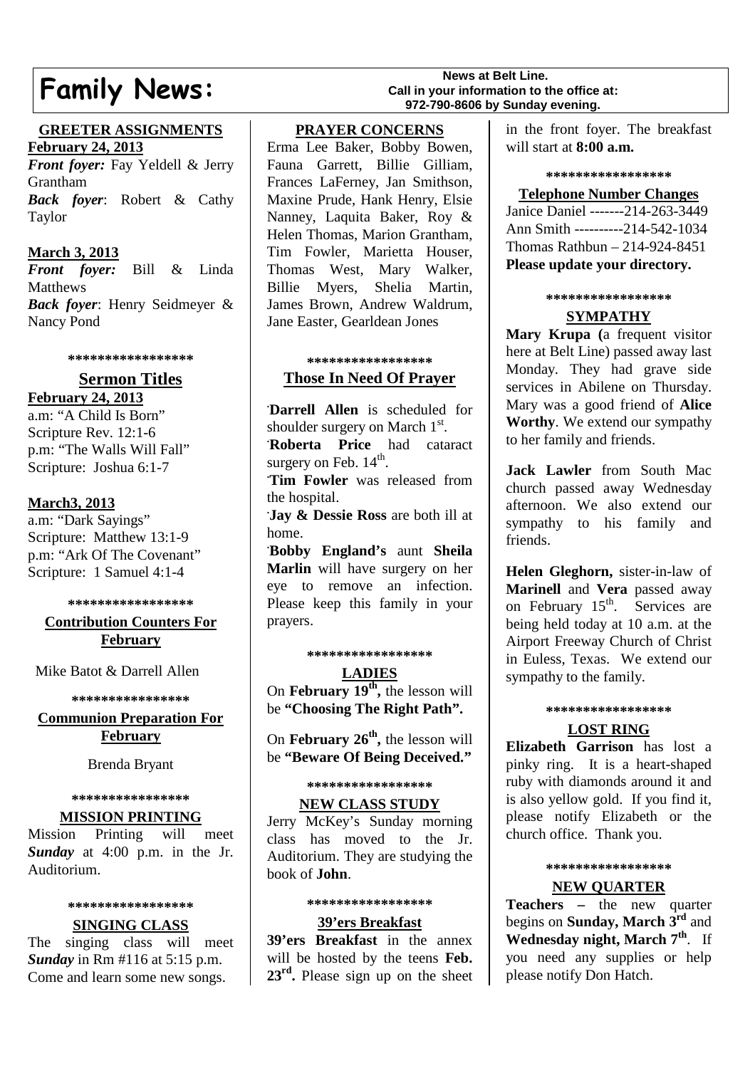## **Family News:**

#### **GREETER ASSIGNMENTS February 24, 2013**

*Front foyer:* Fay Yeldell & Jerry Grantham *Back foyer*: Robert & Cathy Taylor

#### **March 3, 2013**

*Front foyer:* Bill & Linda **Matthews** *Back foyer*: Henry Seidmeyer & Nancy Pond

**\*\*\*\*\*\*\*\*\*\*\*\*\*\*\*\*\***

### **Sermon Titles**

**February 24, 2013** a.m: "A Child Is Born" Scripture Rev. 12:1-6 p.m: "The Walls Will Fall" Scripture: Joshua 6:1-7

#### **March3, 2013**

a.m: "Dark Sayings" Scripture: Matthew 13:1-9 p.m: "Ark Of The Covenant" Scripture: 1 Samuel 4:1-4

**\*\*\*\*\*\*\*\*\*\*\*\*\*\*\*\*\***

#### **Contribution Counters For February**

Mike Batot & Darrell Allen

**\*\*\*\*\*\*\*\*\*\*\*\*\*\*\*\***

### **Communion Preparation For February**

Brenda Bryant

#### **\*\*\*\*\*\*\*\*\*\*\*\*\*\*\*\***

#### **MISSION PRINTING**

Mission Printing will meet *Sunday* at 4:00 p.m. in the Jr. Auditorium.

#### **\*\*\*\*\*\*\*\*\*\*\*\*\*\*\*\*\***

#### **SINGING CLASS**

The singing class will meet *Sunday* in Rm #116 at 5:15 p.m. Come and learn some new songs.

#### **News at Belt Line. Call in your information to the office at: 972-790-8606 by Sunday evening.**

#### **PRAYER CONCERNS**

Erma Lee Baker, Bobby Bowen, Fauna Garrett, Billie Gilliam, Frances LaFerney, Jan Smithson, Maxine Prude, Hank Henry, Elsie Nanney, Laquita Baker, Roy & Helen Thomas, Marion Grantham, Tim Fowler, Marietta Houser, Thomas West, Mary Walker, Billie Myers, Shelia Martin, James Brown, Andrew Waldrum, Jane Easter, Gearldean Jones

#### **\*\*\*\*\*\*\*\*\*\*\*\*\*\*\*\*\* Those In Need Of Prayer**

**. Darrell Allen** is scheduled for shoulder surgery on March  $1<sup>st</sup>$ . **. Roberta Price** had cataract surgery on Feb.  $14^{\text{th}}$ .

**. Tim Fowler** was released from the hospital.

**. Jay & Dessie Ross** are both ill at home.

**. Bobby England's** aunt **Sheila Marlin** will have surgery on her eye to remove an infection. Please keep this family in your prayers.

#### **\*\*\*\*\*\*\*\*\*\*\*\*\*\*\*\*\***

**LADIES** On **February 19th ,** the lesson will be **"Choosing The Right Path".**

On **February 26th ,** the lesson will be **"Beware Of Being Deceived."**

**\*\*\*\*\*\*\*\*\*\*\*\*\*\*\*\*\***

#### **NEW CLASS STUDY**

Jerry McKey's Sunday morning class has moved to the Jr. Auditorium. They are studying the book of **John**.

#### **\*\*\*\*\*\*\*\*\*\*\*\*\*\*\*\*\***

#### **39'ers Breakfast**

**39'ers Breakfast** in the annex will be hosted by the teens **Feb.** 23<sup>rd</sup>. Please sign up on the sheet

in the front foyer. The breakfast will start at **8:00 a.m.**

#### **\*\*\*\*\*\*\*\*\*\*\*\*\*\*\*\*\***

#### **Telephone Number Changes**

Janice Daniel -------214-263-3449 Ann Smith ----------214-542-1034 Thomas Rathbun – 214-924-8451 **Please update your directory.**

#### **\*\*\*\*\*\*\*\*\*\*\*\*\*\*\*\*\***

## **SYMPATHY**

**Mary Krupa (**a frequent visitor here at Belt Line) passed away last Monday. They had grave side services in Abilene on Thursday. Mary was a good friend of **Alice Worthy**. We extend our sympathy to her family and friends.

**Jack Lawler** from South Mac church passed away Wednesday afternoon. We also extend our sympathy to his family and friends.

**Helen Gleghorn,** sister-in-law of **Marinell** and **Vera** passed away on February  $15<sup>th</sup>$ . Services are being held today at 10 a.m. at the Airport Freeway Church of Christ in Euless, Texas. We extend our sympathy to the family.

#### **\*\*\*\*\*\*\*\*\*\*\*\*\*\*\*\*\***

#### **LOST RING**

**Elizabeth Garrison** has lost a pinky ring. It is a heart-shaped ruby with diamonds around it and is also yellow gold. If you find it, please notify Elizabeth or the church office. Thank you.

#### **\*\*\*\*\*\*\*\*\*\*\*\*\*\*\*\*\***

#### **NEW QUARTER**

**Teachers –** the new quarter begins on **Sunday, March 3rd** and **Wednesday night, March 7th**. If you need any supplies or help please notify Don Hatch.